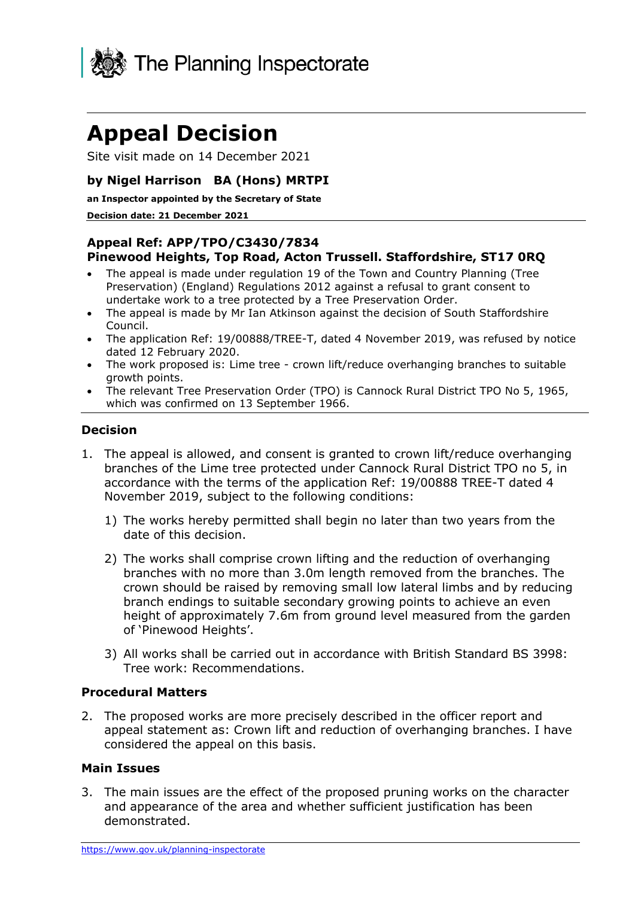

# **Appeal Decision**

Site visit made on 14 December 2021

# **by Nigel Harrison BA (Hons) MRTPI**

**an Inspector appointed by the Secretary of State** 

#### **Decision date: 21 December 2021**

### **Appeal Ref: APP/TPO/C3430/7834 Pinewood Heights, Top Road, Acton Trussell. Staffordshire, ST17 0RQ**

- The appeal is made under regulation 19 of the Town and Country Planning (Tree Preservation) (England) Regulations 2012 against a refusal to grant consent to undertake work to a tree protected by a Tree Preservation Order.
- The appeal is made by Mr Ian Atkinson against the decision of South Staffordshire Council.
- The application Ref: 19/00888/TREE-T, dated 4 November 2019, was refused by notice dated 12 February 2020.
- The work proposed is: Lime tree crown lift/reduce overhanging branches to suitable growth points.
- The relevant Tree Preservation Order (TPO) is Cannock Rural District TPO No 5, 1965, which was confirmed on 13 September 1966.

#### **Decision**

- 1. The appeal is allowed, and consent is granted to crown lift/reduce overhanging branches of the Lime tree protected under Cannock Rural District TPO no 5, in accordance with the terms of the application Ref: 19/00888 TREE-T dated 4 November 2019, subject to the following conditions:
	- 1) The works hereby permitted shall begin no later than two years from the date of this decision.
	- 2) The works shall comprise crown lifting and the reduction of overhanging branches with no more than 3.0m length removed from the branches. The crown should be raised by removing small low lateral limbs and by reducing branch endings to suitable secondary growing points to achieve an even height of approximately 7.6m from ground level measured from the garden of 'Pinewood Heights'.
	- 3) All works shall be carried out in accordance with British Standard BS 3998: Tree work: Recommendations.

#### **Procedural Matters**

2. The proposed works are more precisely described in the officer report and appeal statement as: Crown lift and reduction of overhanging branches. I have considered the appeal on this basis.

## **Main Issues**

3. The main issues are the effect of the proposed pruning works on the character and appearance of the area and whether sufficient justification has been demonstrated.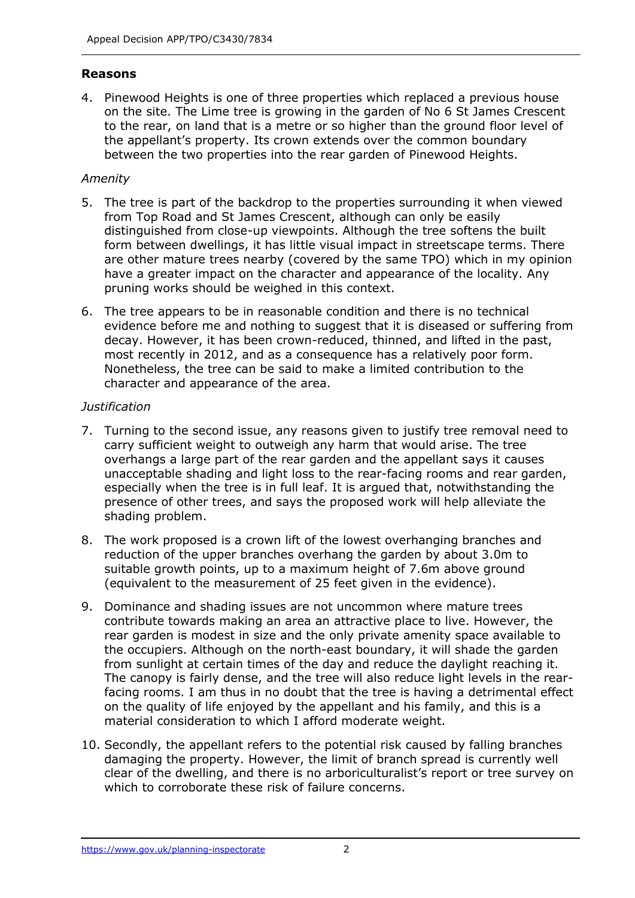# **Reasons**

4. Pinewood Heights is one of three properties which replaced a previous house on the site. The Lime tree is growing in the garden of No 6 St James Crescent to the rear, on land that is a metre or so higher than the ground floor level of the appellant's property. Its crown extends over the common boundary between the two properties into the rear garden of Pinewood Heights.

# *Amenity*

- 5. The tree is part of the backdrop to the properties surrounding it when viewed from Top Road and St James Crescent, although can only be easily distinguished from close-up viewpoints. Although the tree softens the built form between dwellings, it has little visual impact in streetscape terms. There are other mature trees nearby (covered by the same TPO) which in my opinion have a greater impact on the character and appearance of the locality. Any pruning works should be weighed in this context.
- 6. The tree appears to be in reasonable condition and there is no technical evidence before me and nothing to suggest that it is diseased or suffering from decay. However, it has been crown-reduced, thinned, and lifted in the past, most recently in 2012, and as a consequence has a relatively poor form. Nonetheless, the tree can be said to make a limited contribution to the character and appearance of the area.

## *Justification*

- 7. Turning to the second issue, any reasons given to justify tree removal need to carry sufficient weight to outweigh any harm that would arise. The tree overhangs a large part of the rear garden and the appellant says it causes unacceptable shading and light loss to the rear-facing rooms and rear garden, especially when the tree is in full leaf. It is argued that, notwithstanding the presence of other trees, and says the proposed work will help alleviate the shading problem.
- 8. The work proposed is a crown lift of the lowest overhanging branches and reduction of the upper branches overhang the garden by about 3.0m to suitable growth points, up to a maximum height of 7.6m above ground (equivalent to the measurement of 25 feet given in the evidence).
- 9. Dominance and shading issues are not uncommon where mature trees contribute towards making an area an attractive place to live. However, the rear garden is modest in size and the only private amenity space available to the occupiers. Although on the north-east boundary, it will shade the garden from sunlight at certain times of the day and reduce the daylight reaching it. The canopy is fairly dense, and the tree will also reduce light levels in the rearfacing rooms. I am thus in no doubt that the tree is having a detrimental effect on the quality of life enjoyed by the appellant and his family, and this is a material consideration to which I afford moderate weight.
- 10. Secondly, the appellant refers to the potential risk caused by falling branches damaging the property. However, the limit of branch spread is currently well clear of the dwelling, and there is no arboriculturalist's report or tree survey on which to corroborate these risk of failure concerns.